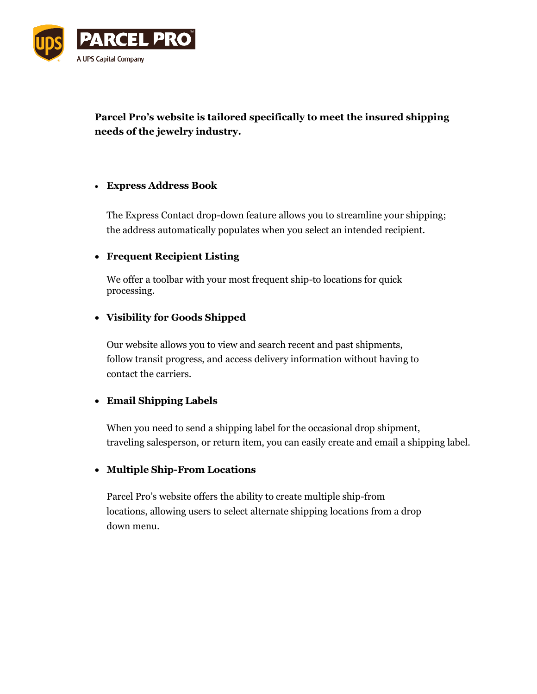

**Parcel Pro's website is tailored specifically to meet the insured shipping needs of the jewelry industry.**

## **Express Address Book**

The Express Contact drop-down feature allows you to streamline your shipping; the address automatically populates when you select an intended recipient.

# **Frequent Recipient Listing**

We offer a toolbar with your most frequent ship-to locations for quick processing.

## **Visibility for Goods Shipped**

Our website allows you to view and search recent and past shipments, follow transit progress, and access delivery information without having to contact the carriers.

# **Email Shipping Labels**

When you need to send a shipping label for the occasional drop shipment, traveling salesperson, or return item, you can easily create and email a shipping label.

# **Multiple Ship-From Locations**

Parcel Pro's website offers the ability to create multiple ship-from locations, allowing users to select alternate shipping locations from a drop down menu.